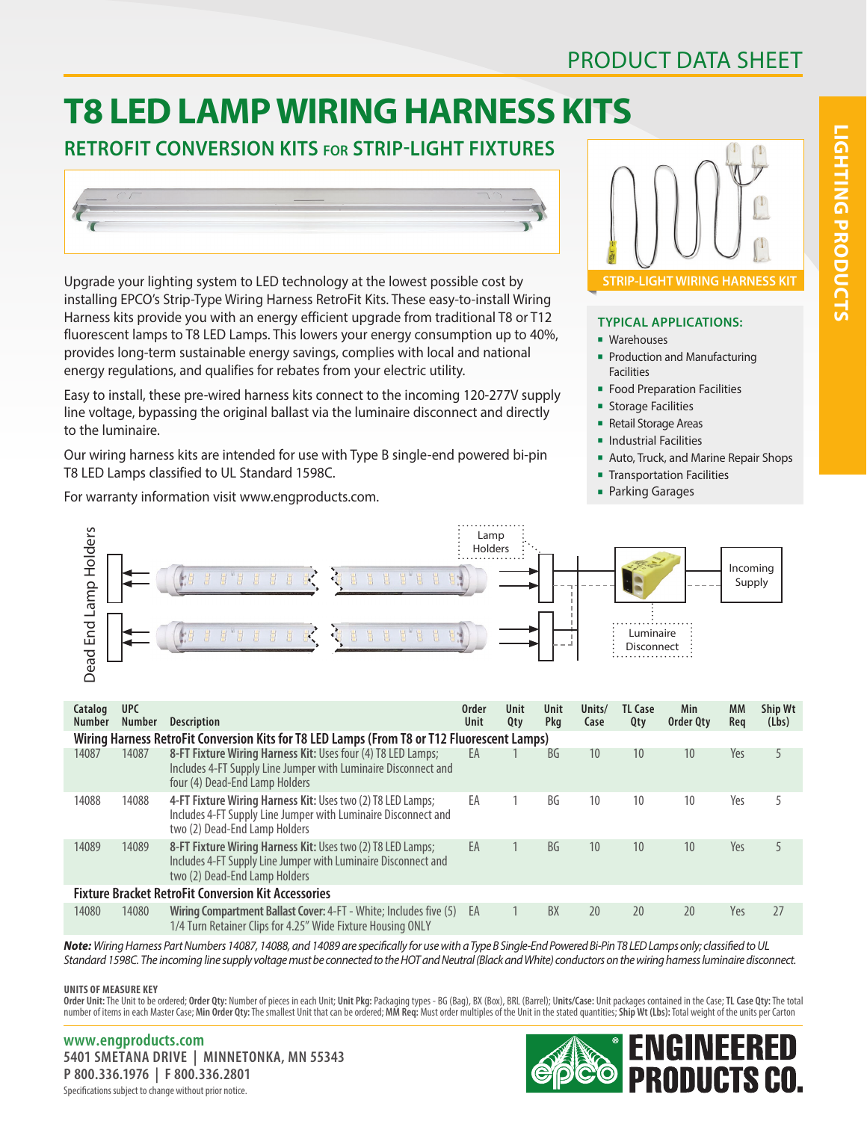## PRODUCT DATA SHEET

# **T8 LED LAMP WIRING HARNESS KITS**

## **RETROFIT CONVERSION KITS for STRIP-LIGHT FIXTURES**



Upgrade your lighting system to LED technology at the lowest possible cost by installing EPCO's Strip-Type Wiring Harness RetroFit Kits. These easy-to-install Wiring Harness kits provide you with an energy efficient upgrade from traditional T8 or T12 fluorescent lamps to T8 LED Lamps. This lowers your energy consumption up to 40%, provides long-term sustainable energy savings, complies with local and national energy regulations, and qualifies for rebates from your electric utility.

Easy to install, these pre-wired harness kits connect to the incoming 120-277V supply line voltage, bypassing the original ballast via the luminaire disconnect and directly to the luminaire.

Our wiring harness kits are intended for use with Type B single-end powered bi-pin T8 LED Lamps classified to UL Standard 1598C.

For warranty information visit www.engproducts.com.



#### **TYPICAL APPLICATIONS:**

- **Narehouses**
- Production and Manufacturing Facilities
- **Food Preparation Facilities**
- **Storage Facilities**
- **Retail Storage Areas**
- **n** Industrial Facilities
- **Auto, Truck, and Marine Repair Shops**
- **Transportation Facilities**
- **Parking Garages**



| Catalog<br>Number                                                                           | <b>UPC</b><br>Number | <b>Description</b>                                                                                                                                               | <b>Order</b><br>Unit | Unit<br>Qty | Unit<br>Pkg | Units/<br>Case  | <b>TL Case</b><br>Qty | Min<br>Order Qty | <b>MM</b><br>Req | Ship Wt<br>(Lbs) |  |
|---------------------------------------------------------------------------------------------|----------------------|------------------------------------------------------------------------------------------------------------------------------------------------------------------|----------------------|-------------|-------------|-----------------|-----------------------|------------------|------------------|------------------|--|
| Wiring Harness RetroFit Conversion Kits for T8 LED Lamps (From T8 or T12 Fluorescent Lamps) |                      |                                                                                                                                                                  |                      |             |             |                 |                       |                  |                  |                  |  |
| 14087                                                                                       | 14087                | 8-FT Fixture Wiring Harness Kit: Uses four (4) T8 LED Lamps;<br>Includes 4-FT Supply Line Jumper with Luminaire Disconnect and<br>four (4) Dead-End Lamp Holders | EA                   |             | BG          | 10              | 10                    | 10               | Yes              | 5                |  |
| 14088                                                                                       | 14088                | 4-FT Fixture Wiring Harness Kit: Uses two (2) T8 LED Lamps;<br>Includes 4-FT Supply Line Jumper with Luminaire Disconnect and<br>two (2) Dead-End Lamp Holders   | EA                   |             | BG          | 10              | 10                    | 10               | Yes              | 5                |  |
| 14089                                                                                       | 14089                | 8-FT Fixture Wiring Harness Kit: Uses two (2) T8 LED Lamps;<br>Includes 4-FT Supply Line Jumper with Luminaire Disconnect and<br>two (2) Dead-End Lamp Holders   | EA                   |             | <b>BG</b>   | 10 <sup>°</sup> | 10                    | 10               | Yes              | 5                |  |
| <b>Fixture Bracket RetroFit Conversion Kit Accessories</b>                                  |                      |                                                                                                                                                                  |                      |             |             |                 |                       |                  |                  |                  |  |
| 14080                                                                                       | 14080                | Wiring Compartment Ballast Cover: 4-FT - White; Includes five (5)<br>1/4 Turn Retainer Clips for 4.25" Wide Fixture Housing ONLY                                 | EA                   |             | BX          | 20              | 20                    | 20               | Yes              | 27               |  |

*Note: Wiring Harness Part Numbers 14087, 14088, and 14089 are specifically for use with a Type B Single-End Powered Bi-Pin T8 LED Lamps only; classified to UL Standard 1598C. The incoming line supply voltage must be connected to the HOT and Neutral (Black and White) conductors on the wiring harness luminaire disconnect.*

**UNITS OF MEASURE KEY**

Order Unit: The Unit to be ordered; Order Qty: Number of pieces in each Unit; Unit Pkg: Packaging types - BG (Bag), BX (Box), BRL (Barrel); Units/Case: Unit packages contained in the Case; TL Case Qty: The total number of items in each Master Case; Min Order Qty: The smallest Unit that can be ordered; MM Req: Must order multiples of the Unit in the stated quantities; Ship Wt (Lbs): Total weight of the units per Carton

Specifications subject to change without prior notice. **www.engproducts.com 5401 SMETANA DRIVE | MINNETONKA, MN 55343 P 800.336.1976 | F 800.336.2801**